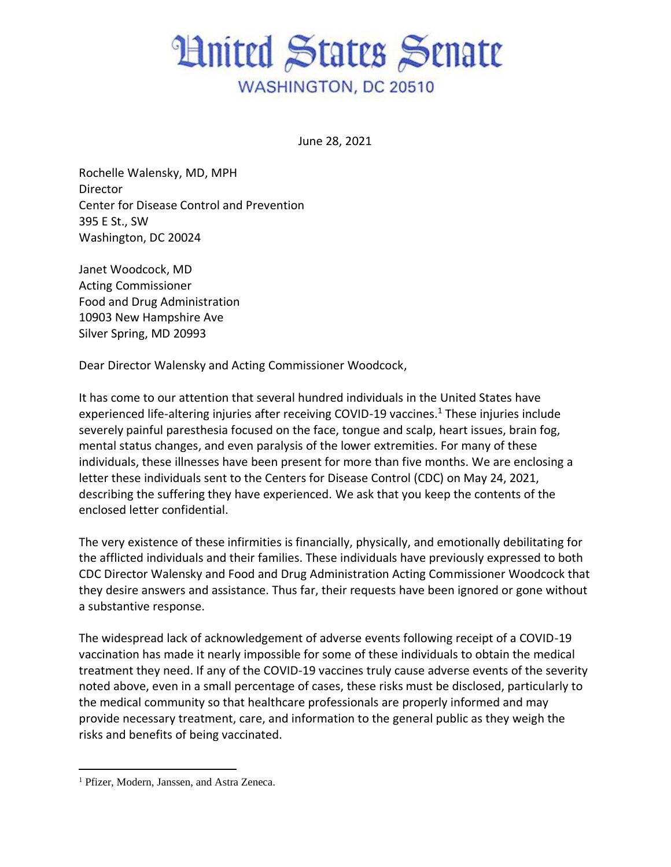## **Hnited States Senate WASHINGTON, DC 20510**

June 28, 2021

Rochelle Walensky, MD, MPH **Director** Center for Disease Control and Prevention 395 E St., SW Washington, DC 20024

Janet Woodcock, MD Acting Commissioner Food and Drug Administration 10903 New Hampshire Ave Silver Spring, MD 20993

Dear Director Walensky and Acting Commissioner Woodcock,

It has come to our attention that several hundred individuals in the United States have experienced life-altering injuries after receiving COVID-19 vaccines.<sup>1</sup> These injuries include severely painful paresthesia focused on the face, tongue and scalp, heart issues, brain fog, mental status changes, and even paralysis of the lower extremities. For many of these individuals, these illnesses have been present for more than five months. We are enclosing a letter these individuals sent to the Centers for Disease Control (CDC) on May 24, 2021, describing the suffering they have experienced. We ask that you keep the contents of the enclosed letter confidential.

The very existence of these infirmities is financially, physically, and emotionally debilitating for the afflicted individuals and their families. These individuals have previously expressed to both CDC Director Walensky and Food and Drug Administration Acting Commissioner Woodcock that they desire answers and assistance. Thus far, their requests have been ignored or gone without a substantive response.

The widespread lack of acknowledgement of adverse events following receipt of a COVID-19 vaccination has made it nearly impossible for some of these individuals to obtain the medical treatment they need. If any of the COVID-19 vaccines truly cause adverse events of the severity noted above, even in a small percentage of cases, these risks must be disclosed, particularly to the medical community so that healthcare professionals are properly informed and may provide necessary treatment, care, and information to the general public as they weigh the risks and benefits of being vaccinated.

<sup>&</sup>lt;sup>1</sup> Pfizer, Modern, Janssen, and Astra Zeneca.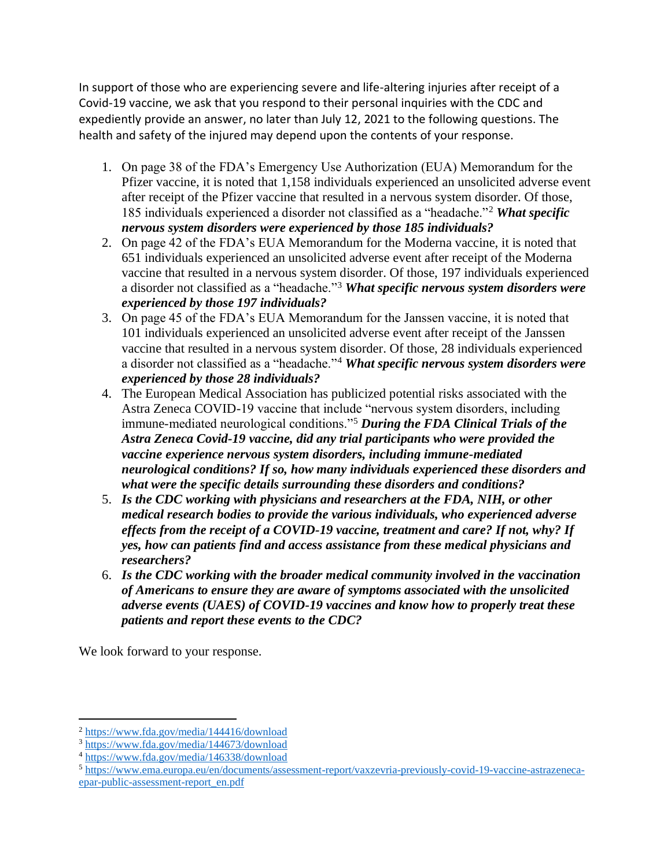In support of those who are experiencing severe and life-altering injuries after receipt of a Covid-19 vaccine, we ask that you respond to their personal inquiries with the CDC and expediently provide an answer, no later than July 12, 2021 to the following questions. The health and safety of the injured may depend upon the contents of your response.

- 1. On page 38 of the FDA's Emergency Use Authorization (EUA) Memorandum for the Pfizer vaccine, it is noted that 1,158 individuals experienced an unsolicited adverse event after receipt of the Pfizer vaccine that resulted in a nervous system disorder. Of those, 185 individuals experienced a disorder not classified as a "headache."<sup>2</sup> *What specific nervous system disorders were experienced by those 185 individuals?*
- 2. On page 42 of the FDA's EUA Memorandum for the Moderna vaccine, it is noted that 651 individuals experienced an unsolicited adverse event after receipt of the Moderna vaccine that resulted in a nervous system disorder. Of those, 197 individuals experienced a disorder not classified as a "headache."<sup>3</sup> *What specific nervous system disorders were experienced by those 197 individuals?*
- 3. On page 45 of the FDA's EUA Memorandum for the Janssen vaccine, it is noted that 101 individuals experienced an unsolicited adverse event after receipt of the Janssen vaccine that resulted in a nervous system disorder. Of those, 28 individuals experienced a disorder not classified as a "headache."<sup>4</sup> *What specific nervous system disorders were experienced by those 28 individuals?*
- 4. The European Medical Association has publicized potential risks associated with the Astra Zeneca COVID-19 vaccine that include "nervous system disorders, including immune-mediated neurological conditions."<sup>5</sup> *During the FDA Clinical Trials of the Astra Zeneca Covid-19 vaccine, did any trial participants who were provided the vaccine experience nervous system disorders, including immune-mediated neurological conditions? If so, how many individuals experienced these disorders and what were the specific details surrounding these disorders and conditions?*
- 5. *Is the CDC working with physicians and researchers at the FDA, NIH, or other medical research bodies to provide the various individuals, who experienced adverse effects from the receipt of a COVID-19 vaccine, treatment and care? If not, why? If yes, how can patients find and access assistance from these medical physicians and researchers?*
- 6. *Is the CDC working with the broader medical community involved in the vaccination of Americans to ensure they are aware of symptoms associated with the unsolicited adverse events (UAES) of COVID-19 vaccines and know how to properly treat these patients and report these events to the CDC?*

We look forward to your response.

<sup>2</sup> <https://www.fda.gov/media/144416/download>

<sup>3</sup> <https://www.fda.gov/media/144673/download>

<sup>4</sup> <https://www.fda.gov/media/146338/download>

<sup>5</sup> [https://www.ema.europa.eu/en/documents/assessment-report/vaxzevria-previously-covid-19-vaccine-astrazeneca](https://www.ema.europa.eu/en/documents/assessment-report/vaxzevria-previously-covid-19-vaccine-astrazeneca-epar-public-assessment-report_en.pdf)[epar-public-assessment-report\\_en.pdf](https://www.ema.europa.eu/en/documents/assessment-report/vaxzevria-previously-covid-19-vaccine-astrazeneca-epar-public-assessment-report_en.pdf)